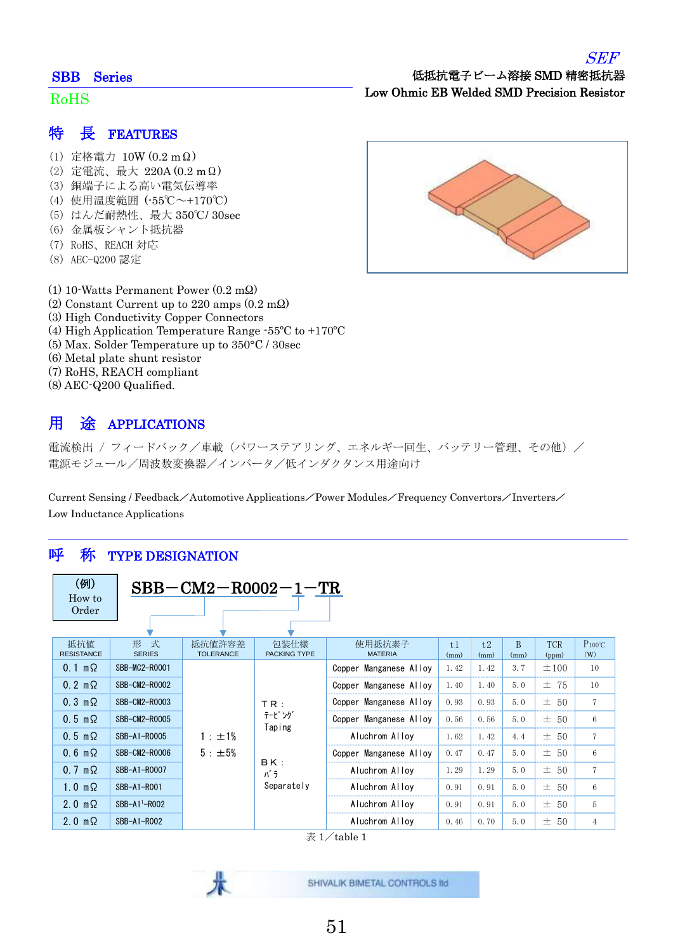#### SBB Series

#### Ĵ RoHS

- (1) 定格電力 10W (0.2 mΩ)
- (2) 定電流、最大 220A (0.2 mΩ)
- (3) 銅端子による高い電気伝導率
- (4) 使用温度範囲 (-55℃~+170℃)
- (5) はんだ耐熱性、最大 350℃/ 30sec
- (6) 金属板シャント抵抗器
- (7) RoHS、REACH 対応
- (8) AEC-Q200 認定
- (1) 10-Watts Permanent Power (0.2 mΩ)
- (2) Constant Current up to 220 amps (0.2 mΩ)
- (3) High Conductivity Copper Connectors
- (4) High Application Temperature Range -55ºC to +170ºC
- (5) Max. Solder Temperature up to 350°C / 30sec
- (6) Metal plate shunt resistor
- (7) RoHS, REACH compliant
- (8) AEC-Q200 Qualified.

## 用 途 APPLICATIONS

電流検出 / フィードバック/車載 (パワーステアリング、エネルギー回生、バッテリー管理、その他) / 電源モジュール/周波数変換器/インバータ/低インダクタンス用途向け

Current Sensing / Feedback/Automotive Applications/Power Modules/Frequency Convertors/Inverters/ Low Inductance Applications

### 呼 称 TYPE DESIGNATION

| (例)<br>How to<br>Order   |                           | $SBB-CM2-R0002-1-TR$               |                             |                          |            |            |           |                     |                     |  |                |      |      |     |          |
|--------------------------|---------------------------|------------------------------------|-----------------------------|--------------------------|------------|------------|-----------|---------------------|---------------------|--|----------------|------|------|-----|----------|
|                          |                           |                                    |                             |                          |            |            |           |                     |                     |  |                |      |      |     |          |
| 抵抗值<br><b>RESISTANCE</b> | 形 式<br><b>SERIES</b>      | 抵抗値許容差<br><b>TOLERANCE</b>         | 包装仕様<br><b>PACKING TYPE</b> | 使用抵抗素子<br><b>MATERIA</b> | t1<br>(mm) | t2<br>(mm) | B<br>(mm) | <b>TCR</b><br>(ppm) | $P_{100}$ °C<br>(W) |  |                |      |      |     |          |
| $0.1 \text{ m}\Omega$    | SBB-MC2-R0001             |                                    | TR:<br>テーピング<br>Taping      | Copper Manganese Alloy   | 1.42       | 1.42       | 3.7       | $\pm 100$           | 10                  |  |                |      |      |     |          |
| $0.2 \text{ m}\Omega$    | SBB-CM2-R0002             |                                    |                             | Copper Manganese Alloy   | 1.40       | 1.40       | 5.0       | 75<br>士             | 10                  |  |                |      |      |     |          |
| $0.3 \text{ m}\Omega$    | SBB-CM2-R0003             |                                    |                             | Copper Manganese Alloy   | 0.93       | 0.93       | 5.0       | ± 50                | 7                   |  |                |      |      |     |          |
| $0.5 \text{ m}\Omega$    | SBB-CM2-R0005             |                                    |                             | Copper Manganese Alloy   | 0.56       | 0.56       | 5.0       | $\pm$ 50            | 6                   |  |                |      |      |     |          |
| $0.5 \text{ m}\Omega$    | SBB-A1-R0005              | 1 : ±1%                            |                             |                          |            |            |           |                     |                     |  | Aluchrom Alloy | 1.62 | 1.42 | 4.4 | $\pm$ 50 |
| $0.6 \text{ m}\Omega$    | SBB-CM2-R0006             | 5 : ±5%<br>BK:<br>パラ<br>Separately |                             | Copper Manganese Alloy   | 0.47       | 0.47       | 5.0       | -50<br>士            | 6                   |  |                |      |      |     |          |
| $0.7 \text{ m}\Omega$    | SBB-A1-R0007              |                                    |                             | Aluchrom Alloy           | 1.29       | 1.29       | 5.0       | $\pm$<br>50         | $\overline{7}$      |  |                |      |      |     |          |
| $1.0 \text{ m}\Omega$    | SBB-A1-R001               |                                    |                             | Aluchrom Alloy           | 0.91       | 0.91       | 5.0       | $\pm$ 50            | 6                   |  |                |      |      |     |          |
| $2.0 \text{ m}\Omega$    | SBB-A1 <sup>1</sup> -R002 |                                    |                             | Aluchrom Alloy           | 0.91       | 0.91       | 5.0       | $\pm$<br>50         | 5                   |  |                |      |      |     |          |
| $2.0 \text{ m}\Omega$    | SBB-A1-R002               |                                    |                             | Aluchrom Alloy           | 0.46       | 0.70       | 5.0       | ± 50                | 4                   |  |                |      |      |     |          |

 $\overline{\mathcal{R}}$  1/table 1

SHIVALIK BIMETAL CONTROLS IId



Low Ohmic EB Welded SMD Precision Resistor

低抵抗電子ビーム溶接 SMD 精密抵抗器

SEF

51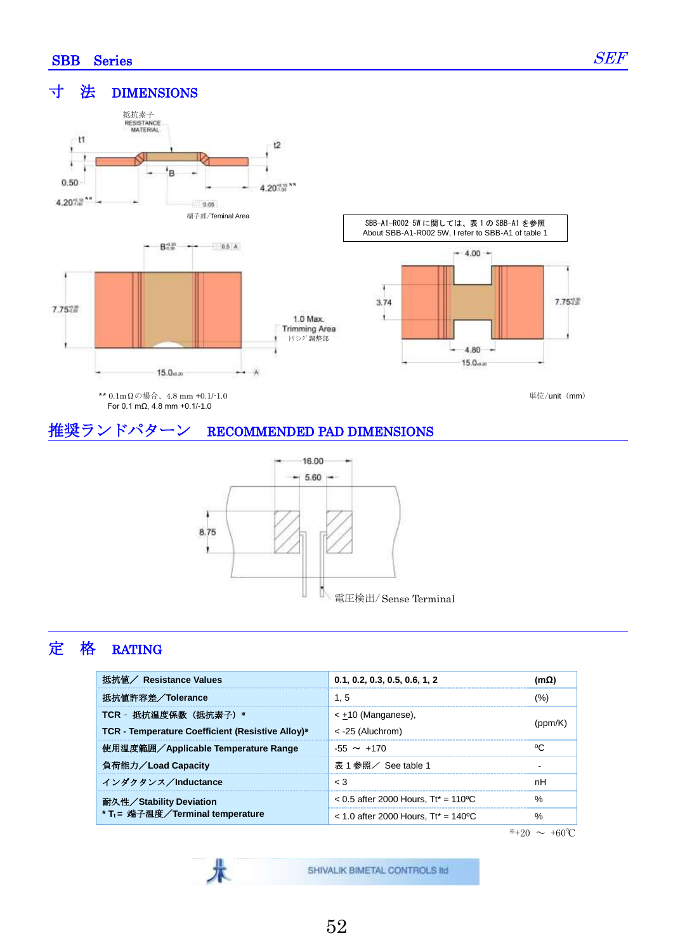Ī

SEF

#### 寸 法 DIMENSIONS



For 0.1 mΩ, 4.8 mm +0.1/-1.0

単位/unit (mm)

## 推奨ランドパターン RECOMMENDED PAD DIMENSIONS

术



## 定 格 RATING

| 抵抗値/ Resistance Values                           | 0.1, 0.2, 0.3, 0.5, 0.6, 1, 2          | (mΩ) |  |
|--------------------------------------------------|----------------------------------------|------|--|
| 抵抗値許容差/Tolerance                                 | 1.5                                    | (%)  |  |
| TCR - 抵抗温度係数(抵抗素子)*                              | < $\pm$ 10 (Manganese),                |      |  |
| TCR - Temperature Coefficient (Resistive Alloy)* | $<$ -25 (Aluchrom)                     |      |  |
| 使用温度範囲/Applicable Temperature Range              | $-55 \sim +170$                        | °C   |  |
| 負荷能力/Load Capacity                               | 表 1 参照/ See table 1                    |      |  |
| インダクタンス/Inductance                               | $\leq 3$                               | nH   |  |
| 耐久性/Stability Deviation                          | $< 0.5$ after 2000 Hours. Tt* = 110 °C | $\%$ |  |
| * T <sub>t</sub> = 端子温度/Terminal temperature     | $<$ 1.0 after 2000 Hours. Tt* = 140 °C | %    |  |

 $\overline{*+20}$  ~ +60℃

SHIVALIK BIMETAL CONTROLS IId